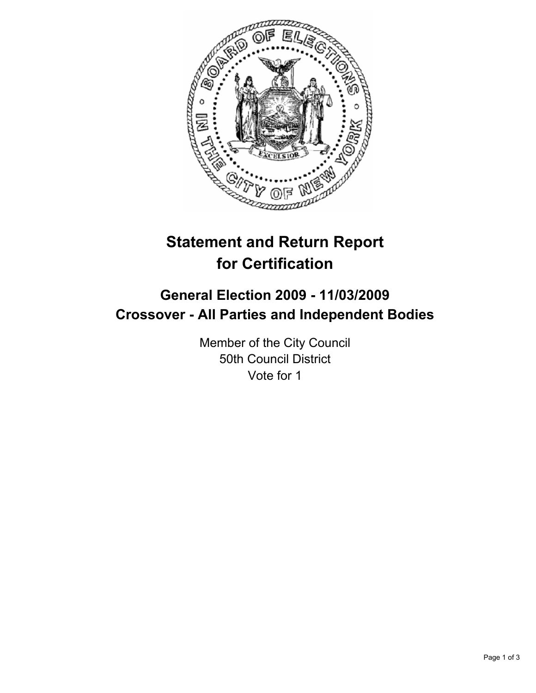

# **Statement and Return Report for Certification**

## **General Election 2009 - 11/03/2009 Crossover - All Parties and Independent Bodies**

Member of the City Council 50th Council District Vote for 1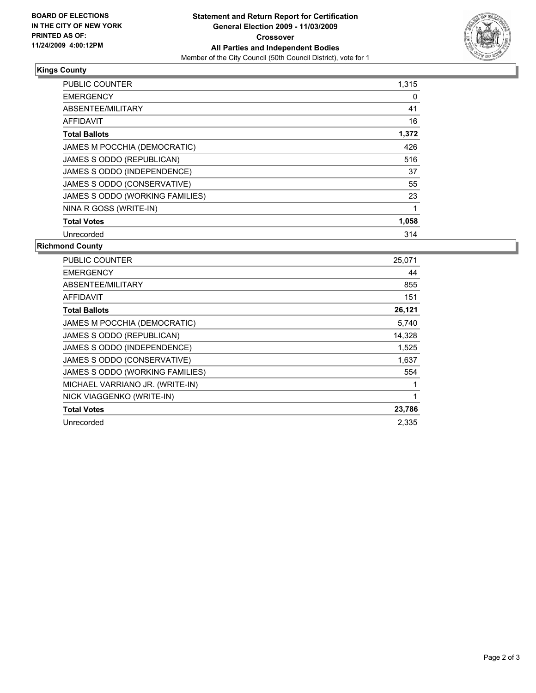

### **Kings County**

| <b>PUBLIC COUNTER</b>           | 1,315 |
|---------------------------------|-------|
| <b>EMERGENCY</b>                | 0     |
| ABSENTEE/MILITARY               | 41    |
| <b>AFFIDAVIT</b>                | 16    |
| <b>Total Ballots</b>            | 1,372 |
| JAMES M POCCHIA (DEMOCRATIC)    | 426   |
| JAMES S ODDO (REPUBLICAN)       | 516   |
| JAMES S ODDO (INDEPENDENCE)     | 37    |
| JAMES S ODDO (CONSERVATIVE)     | 55    |
| JAMES S ODDO (WORKING FAMILIES) | 23    |
| NINA R GOSS (WRITE-IN)          | 1     |
| <b>Total Votes</b>              | 1,058 |
| Unrecorded                      | 314   |

### **Richmond County**

| PUBLIC COUNTER                  | 25,071 |
|---------------------------------|--------|
| <b>EMERGENCY</b>                | 44     |
| ABSENTEE/MILITARY               | 855    |
| <b>AFFIDAVIT</b>                | 151    |
| <b>Total Ballots</b>            | 26,121 |
| JAMES M POCCHIA (DEMOCRATIC)    | 5,740  |
| JAMES S ODDO (REPUBLICAN)       | 14,328 |
| JAMES S ODDO (INDEPENDENCE)     | 1,525  |
| JAMES S ODDO (CONSERVATIVE)     | 1,637  |
| JAMES S ODDO (WORKING FAMILIES) | 554    |
| MICHAEL VARRIANO JR. (WRITE-IN) | 1      |
| NICK VIAGGENKO (WRITE-IN)       | 1      |
| <b>Total Votes</b>              | 23,786 |
| Unrecorded                      | 2.335  |